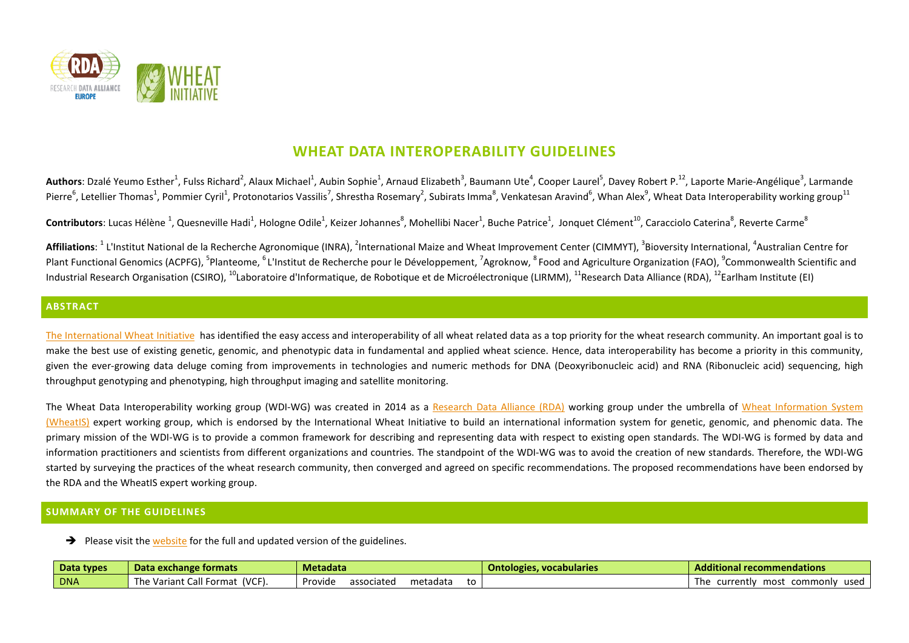

# **WHEAT DATA INTEROPERABILITY GUIDELINES**

Authors: Dzalé Yeumo Esther<sup>1</sup>, Fulss Richard<sup>2</sup>, Alaux Michael<sup>1</sup>, Aubin Sophie<sup>1</sup>, Arnaud Elizabeth<sup>3</sup>, Baumann Ute<sup>4</sup>, Cooper Laurel<sup>5</sup>, Davey Robert P.<sup>12</sup>, Laporte Marie-Angélique<sup>3</sup>, Larmande Pierre<sup>6</sup>, Letellier Thomas<sup>1</sup>, Pommier Cyril<sup>1</sup>, Protonotarios Vassilis<sup>7</sup>, Shrestha Rosemary<sup>2</sup>, Subirats Imma<sup>8</sup>, Venkatesan Aravind<sup>6</sup>, Whan Alex<sup>9</sup>, Wheat Data Interoperability working group<sup>11</sup>

**Contributors**: Lucas Hélène <sup>1</sup>, Quesneville Hadi<sup>1</sup>, Hologne Odile<sup>1</sup>, Keizer Johannes<sup>8</sup>, Mohellibi Nacer<sup>1</sup>, Buche Patrice<sup>1</sup>, Jonquet Clément<sup>10</sup>, Caracciolo Caterina<sup>8</sup>, Reverte Carme<sup>8</sup>

Affiliations: <sup>1</sup> L'Institut National de la Recherche Agronomique (INRA), <sup>2</sup>International Maize and Wheat Improvement Center (CIMMYT), <sup>3</sup>Bioversity International, <sup>4</sup>Australian Centre for Plant Functional Genomics (ACPFG), <sup>5</sup>Planteome, <sup>6</sup> L'Institut de Recherche pour le Développement, <sup>7</sup>Agroknow, <sup>8</sup> Food and Agriculture Organization (FAO), <sup>9</sup>Commonwealth Scientific and Industrial Research Organisation (CSIRO), <sup>10</sup>Laboratoire d'Informatique, de Robotique et de Microélectronique (LIRMM), <sup>11</sup>Research Data Alliance (RDA), <sup>12</sup>Earlham Institute (EI)

### **ABSTRACT**

[The International Wheat Initiative](http://www.wheatinitiative.org/) has identified the easy access and interoperability of all wheat related data as a top priority for the wheat research community. An important goal is to make the best use of existing genetic, genomic, and phenotypic data in fundamental and applied wheat science. Hence, data interoperability has become a priority in this community, given the ever-growing data deluge coming from improvements in technologies and numeric methods for DNA (Deoxyribonucleic acid) and RNA (Ribonucleic acid) sequencing, high throughput genotyping and phenotyping, high throughput imaging and satellite monitoring.

The Wheat Data Interoperability working group (WDI-WG) was created in 2014 as a [Research Data Alliance \(RDA\)](https://www.rd-alliance.org/) working group under the umbrella of Wheat Information System [\(WheatIS\)](http://wheatis.org/) expert working group, which is endorsed by the International Wheat Initiative to build an international information system for genetic, genomic, and phenomic data. The primary mission of the WDI-WG is to provide a common framework for describing and representing data with respect to existing open standards. The WDI-WG is formed by data and information practitioners and scientists from different organizations and countries. The standpoint of the WDI-WG was to avoid the creation of new standards. Therefore, the WDI-WG started by surveying the practices of the wheat research community, then converged and agreed on specific recommendations. The proposed recommendations have been endorsed by the RDA and the WheatIS expert working group.

#### **SUMMARY OF THE GUIDELINES**

 $\rightarrow$  Please visit th[e website](http://datastandards.wheatis.org/) for the full and updated version of the guidelines.

| Data types | Data exchange formats                      | Metadata                                | <b>Ontologies, vocabularies</b> | Additional recommendations                          |
|------------|--------------------------------------------|-----------------------------------------|---------------------------------|-----------------------------------------------------|
| <b>DNA</b> | (VCF).<br>The Variant<br>™ormaเ<br>. CdII. | Provide<br>associated<br>metadata<br>to |                                 | most<br>commonly<br>used<br>currently<br><u>ine</u> |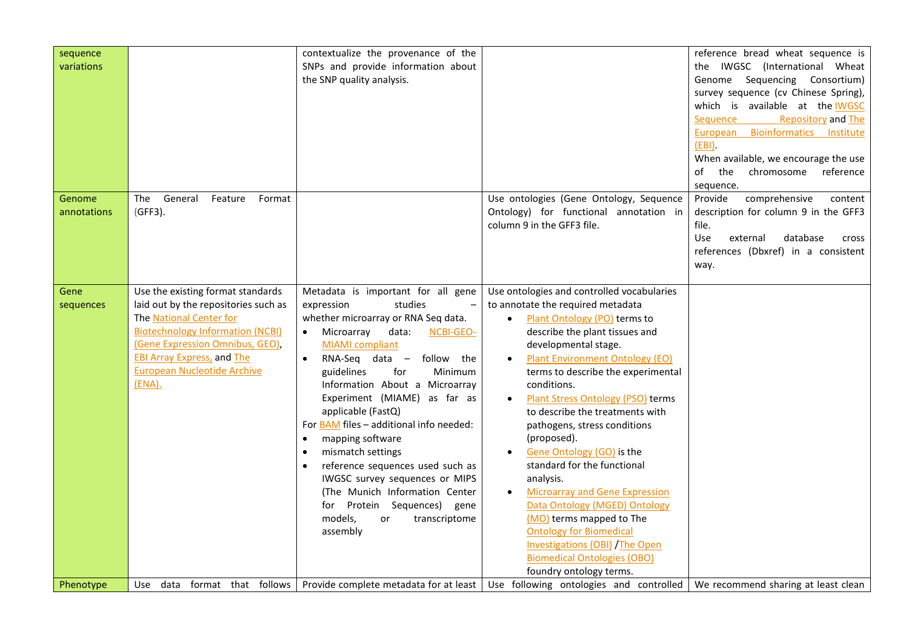| sequence<br>variations |                                                                                                                                                                                                                                                                         | contextualize the provenance of the<br>SNPs and provide information about<br>the SNP quality analysis.                                                                                                                                                                                                                                                                                                                                                                                                                                                                                                                               |                                                                                                                                                                                                                                                                                                                                                                                                                                                                                                                                                                                                                                                                                                              | reference bread wheat sequence is<br>the IWGSC (International Wheat<br>Genome Sequencing Consortium)<br>survey sequence (cv Chinese Spring),<br>which is available at the IWGSC<br><b>Repository and The</b><br>Sequence<br><b>Bioinformatics</b><br>European<br>Institute<br>$(EBI)$ .<br>When available, we encourage the use<br>chromosome<br>reference<br>the<br>of<br>sequence. |
|------------------------|-------------------------------------------------------------------------------------------------------------------------------------------------------------------------------------------------------------------------------------------------------------------------|--------------------------------------------------------------------------------------------------------------------------------------------------------------------------------------------------------------------------------------------------------------------------------------------------------------------------------------------------------------------------------------------------------------------------------------------------------------------------------------------------------------------------------------------------------------------------------------------------------------------------------------|--------------------------------------------------------------------------------------------------------------------------------------------------------------------------------------------------------------------------------------------------------------------------------------------------------------------------------------------------------------------------------------------------------------------------------------------------------------------------------------------------------------------------------------------------------------------------------------------------------------------------------------------------------------------------------------------------------------|--------------------------------------------------------------------------------------------------------------------------------------------------------------------------------------------------------------------------------------------------------------------------------------------------------------------------------------------------------------------------------------|
| Genome<br>annotations  | The<br>General<br>Format<br>Feature<br>(GFF3).                                                                                                                                                                                                                          |                                                                                                                                                                                                                                                                                                                                                                                                                                                                                                                                                                                                                                      | Use ontologies (Gene Ontology, Sequence<br>Ontology) for functional annotation in<br>column 9 in the GFF3 file.                                                                                                                                                                                                                                                                                                                                                                                                                                                                                                                                                                                              | Provide<br>comprehensive<br>content<br>description for column 9 in the GFF3<br>file.<br>Use<br>database<br>external<br>cross<br>references (Dbxref) in a consistent<br>way.                                                                                                                                                                                                          |
| Gene<br>sequences      | Use the existing format standards<br>laid out by the repositories such as<br>The National Center for<br><b>Biotechnology Information (NCBI)</b><br>(Gene Expression Omnibus, GEO),<br><b>EBI Array Express, and The</b><br><b>European Nucleotide Archive</b><br>(ENA). | Metadata is important for all gene<br>studies<br>expression<br>$\qquad \qquad -$<br>whether microarray or RNA Seq data.<br>Microarray<br>data:<br>NCBI-GEO-<br><b>MIAMI</b> compliant<br>$RNA-Seq$ data $-$<br>follow the<br>guidelines<br>for<br><b>Minimum</b><br>Information About a Microarray<br>Experiment (MIAME) as far as<br>applicable (FastQ)<br>For BAM files - additional info needed:<br>mapping software<br>mismatch settings<br>reference sequences used such as<br>IWGSC survey sequences or MIPS<br>(The Munich Information Center<br>for Protein Sequences)<br>gene<br>models.<br>transcriptome<br>or<br>assembly | Use ontologies and controlled vocabularies<br>to annotate the required metadata<br>Plant Ontology (PO) terms to<br>$\bullet$<br>describe the plant tissues and<br>developmental stage.<br><b>Plant Environment Ontology (EO)</b><br>terms to describe the experimental<br>conditions.<br>Plant Stress Ontology (PSO) terms<br>to describe the treatments with<br>pathogens, stress conditions<br>(proposed).<br>Gene Ontology (GO) is the<br>standard for the functional<br>analysis.<br><b>Microarray and Gene Expression</b><br>Data Ontology (MGED) Ontology<br>(MO) terms mapped to The<br><b>Ontology for Biomedical</b><br><b>Investigations (OBI) /The Open</b><br><b>Biomedical Ontologies (OBO)</b> |                                                                                                                                                                                                                                                                                                                                                                                      |
| Phenotype              | Use data format that follows                                                                                                                                                                                                                                            | Provide complete metadata for at least                                                                                                                                                                                                                                                                                                                                                                                                                                                                                                                                                                                               | foundry ontology terms.<br>Use following ontologies and controlled                                                                                                                                                                                                                                                                                                                                                                                                                                                                                                                                                                                                                                           | We recommend sharing at least clean                                                                                                                                                                                                                                                                                                                                                  |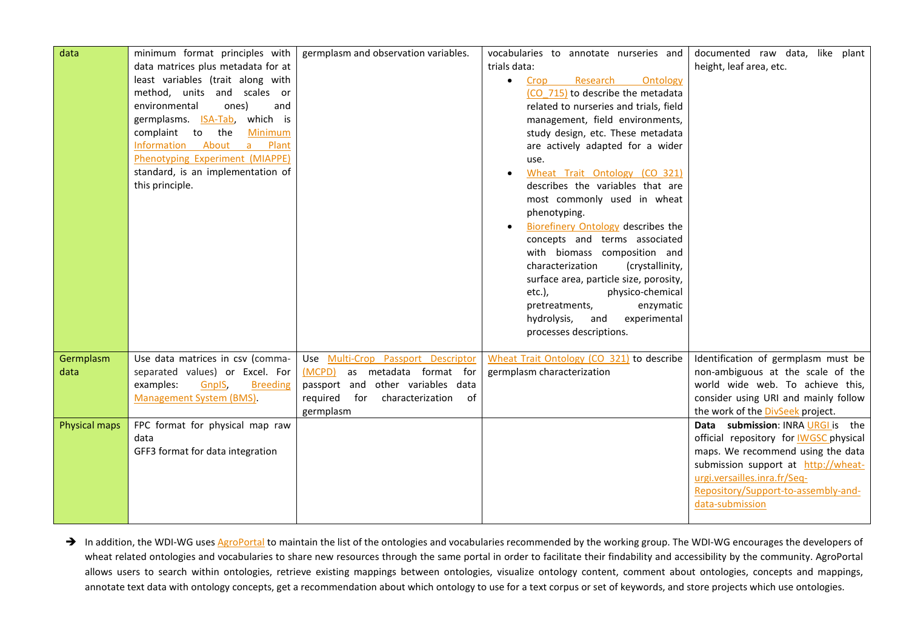| data                 | minimum format principles with         | germplasm and observation variables.   | vocabularies to annotate nurseries and    | documented raw data, like plant               |
|----------------------|----------------------------------------|----------------------------------------|-------------------------------------------|-----------------------------------------------|
|                      | data matrices plus metadata for at     |                                        | trials data:                              | height, leaf area, etc.                       |
|                      | least variables (trait along with      |                                        | Research<br>Ontology<br>Crop<br>$\bullet$ |                                               |
|                      | method, units and scales or            |                                        | (CO 715) to describe the metadata         |                                               |
|                      | environmental<br>ones)<br>and          |                                        | related to nurseries and trials, field    |                                               |
|                      | germplasms. ISA-Tab,<br>which is       |                                        | management, field environments,           |                                               |
|                      | complaint to the<br>Minimum            |                                        | study design, etc. These metadata         |                                               |
|                      | Information About a Plant              |                                        | are actively adapted for a wider          |                                               |
|                      | Phenotyping Experiment (MIAPPE)        |                                        | use.                                      |                                               |
|                      | standard, is an implementation of      |                                        | Wheat Trait Ontology (CO 321)             |                                               |
|                      | this principle.                        |                                        | describes the variables that are          |                                               |
|                      |                                        |                                        | most commonly used in wheat               |                                               |
|                      |                                        |                                        | phenotyping.                              |                                               |
|                      |                                        |                                        | Biorefinery Ontology describes the        |                                               |
|                      |                                        |                                        | concepts and terms associated             |                                               |
|                      |                                        |                                        | with biomass composition and              |                                               |
|                      |                                        |                                        | characterization<br>(crystallinity,       |                                               |
|                      |                                        |                                        | surface area, particle size, porosity,    |                                               |
|                      |                                        |                                        | $etc.$ ),<br>physico-chemical             |                                               |
|                      |                                        |                                        | enzymatic<br>pretreatments,               |                                               |
|                      |                                        |                                        | experimental<br>and<br>hydrolysis,        |                                               |
|                      |                                        |                                        | processes descriptions.                   |                                               |
|                      |                                        |                                        |                                           |                                               |
| Germplasm            | Use data matrices in csv (comma-       | Use Multi-Crop Passport Descriptor     | Wheat Trait Ontology (CO 321) to describe | Identification of germplasm must be           |
| data                 | separated values) or Excel. For        | as metadata format for<br>(MCPD)       | germplasm characterization                | non-ambiguous at the scale of the             |
|                      | examples:<br>GnpIS,<br><b>Breeding</b> | passport and other variables data      |                                           | world wide web. To achieve this,              |
|                      | Management System (BMS).               | required for<br>characterization<br>of |                                           | consider using URI and mainly follow          |
|                      |                                        | germplasm                              |                                           | the work of the DivSeek project.              |
| <b>Physical maps</b> | FPC format for physical map raw        |                                        |                                           | Data submission: INRA URGI is the             |
|                      | data                                   |                                        |                                           | official repository for <b>IWGSC</b> physical |
|                      | GFF3 format for data integration       |                                        |                                           | maps. We recommend using the data             |
|                      |                                        |                                        |                                           | submission support at http://wheat-           |
|                      |                                        |                                        |                                           | urgi.versailles.inra.fr/Seq-                  |
|                      |                                        |                                        |                                           | Repository/Support-to-assembly-and-           |
|                      |                                        |                                        |                                           | data-submission                               |
|                      |                                        |                                        |                                           |                                               |

In addition, the WDI-WG use[s AgroPortal](http://wheat.agroportal.lirmm.fr/ontologies) to maintain the list of the ontologies and vocabularies recommended by the working group. The WDI-WG encourages the developers of wheat related ontologies and vocabularies to share new resources through the same portal in order to facilitate their findability and accessibility by the community. AgroPortal allows users to search within ontologies, retrieve existing mappings between ontologies, visualize ontology content, comment about ontologies, concepts and mappings, annotate text data with ontology concepts, get a recommendation about which ontology to use for a text corpus or set of keywords, and store projects which use ontologies.